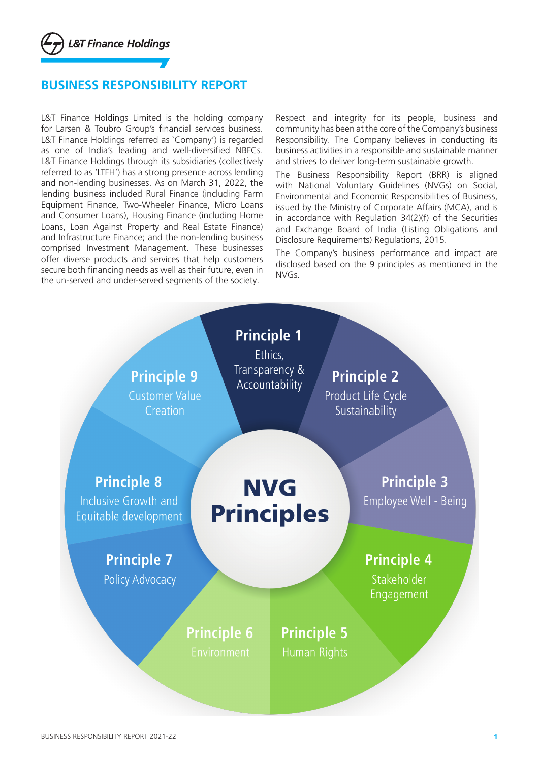

# **BUSINESS RESPONSIBILITY REPORT**

L&T Finance Holdings Limited is the holding company for Larsen & Toubro Group's financial services business. L&T Finance Holdings referred as `Company') is regarded as one of India's leading and well-diversified NBFCs. L&T Finance Holdings through its subsidiaries (collectively referred to as 'LTFH') has a strong presence across lending and non-lending businesses. As on March 31, 2022, the lending business included Rural Finance (including Farm Equipment Finance, Two-Wheeler Finance, Micro Loans and Consumer Loans), Housing Finance (including Home Loans, Loan Against Property and Real Estate Finance) and Infrastructure Finance; and the non-lending business comprised Investment Management. These businesses offer diverse products and services that help customers secure both financing needs as well as their future, even in the un-served and under-served segments of the society.

Respect and integrity for its people, business and community has been at the core of the Company's business Responsibility. The Company believes in conducting its business activities in a responsible and sustainable manner and strives to deliver long-term sustainable growth.

The Business Responsibility Report (BRR) is aligned with National Voluntary Guidelines (NVGs) on Social, Environmental and Economic Responsibilities of Business, issued by the Ministry of Corporate Affairs (MCA), and is in accordance with Regulation 34(2)(f) of the Securities and Exchange Board of India (Listing Obligations and Disclosure Requirements) Regulations, 2015.

The Company's business performance and impact are disclosed based on the 9 principles as mentioned in the NVGs.

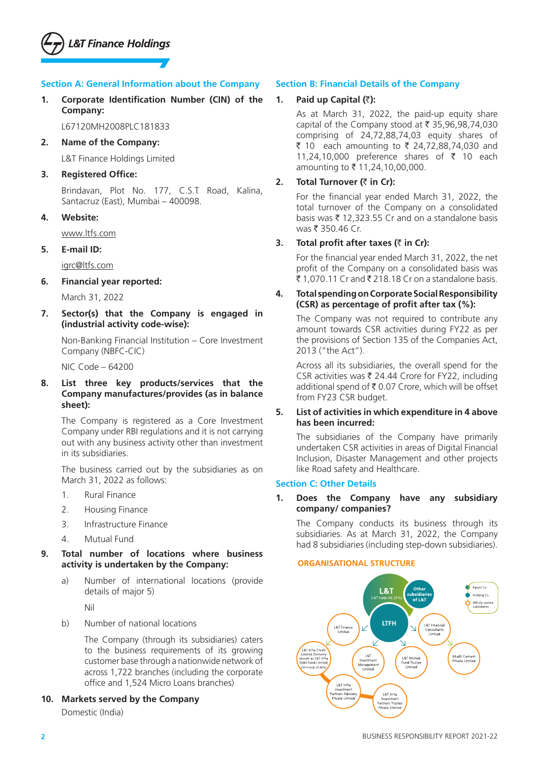

# **Section A: General Information about the Company**

**1. Corporate Identification Number (CIN) of the Company:** 

L67120MH2008PLC181833

**2. Name of the Company:**

L&T Finance Holdings Limited

**3. Registered Office:**

Brindavan, Plot No. 177, C.S.T Road, Kalina, Santacruz (East), Mumbai – 400098.

**4. Website:**

www.ltfs.com

**5. E-mail ID:**

igrc@ltfs.com

**6. Financial year reported:**

March 31, 2022

**7. Sector(s) that the Company is engaged in (industrial activity code-wise):**

Non-Banking Financial Institution – Core Investment Company (NBFC-CIC)

NIC Code – 64200

**8. List three key products/services that the Company manufactures/provides (as in balance sheet):**

The Company is registered as a Core Investment Company under RBI regulations and it is not carrying out with any business activity other than investment in its subsidiaries.

The business carried out by the subsidiaries as on March 31, 2022 as follows:

- 1. Rural Finance
- 2. Housing Finance
- 3. Infrastructure Finance
- 4. Mutual Fund

# **9. Total number of locations where business activity is undertaken by the Company:**

a) Number of international locations (provide details of major 5)

Nil

b) Number of national locations

 The Company (through its subsidiaries) caters to the business requirements of its growing customer base through a nationwide network of across 1,722 branches (including the corporate office and 1,524 Micro Loans branches)

**10. Markets served by the Company**  Domestic (India)

# **Section B: Financial Details of the Company**

# **1. Paid up Capital (**r**):**

As at March 31, 2022, the paid-up equity share capital of the Company stood at  $\bar{\tau}$  35,96,98,74,030 comprising of 24,72,88,74,03 equity shares of ₹ 10 each amounting to ₹ 24,72,88,74,030 and 11,24,10,000 preference shares of ₹ 10 each amounting to ₹11,24,10,00,000.

# **2.** Total Turnover (₹ in Cr):

For the financial year ended March 31, 2022, the total turnover of the Company on a consolidated basis was  $\bar{\tau}$  12,323.55 Cr and on a standalone basis was ₹ 350.46 Cr.

# **3. Total profit after taxes (** $\bar{\tau}$  **in Cr):**

For the financial year ended March 31, 2022, the net profit of the Company on a consolidated basis was ₹ 1,070.11 Cr and ₹ 218.18 Cr on a standalone basis.

# **4. Total spending on Corporate Social Responsibility (CSR) as percentage of profit after tax (%):**

The Company was not required to contribute any amount towards CSR activities during FY22 as per the provisions of Section 135 of the Companies Act, 2013 ("the Act").

Across all its subsidiaries, the overall spend for the CSR activities was ₹ 24.44 Crore for FY22, including additional spend of  $\bar{\tau}$  0.07 Crore, which will be offset from FY23 CSR budget.

# **5. List of activities in which expenditure in 4 above has been incurred:**

The subsidiaries of the Company have primarily undertaken CSR activities in areas of Digital Financial Inclusion, Disaster Management and other projects like Road safety and Healthcare.

### **Section C: Other Details**

### **1. Does the Company have any subsidiary company/ companies?**

The Company conducts its business through its subsidiaries. As at March 31, 2022, the Company had 8 subsidiaries (including step-down subsidiaries).

#### **ORGANISATIONAL STRUCTURE**

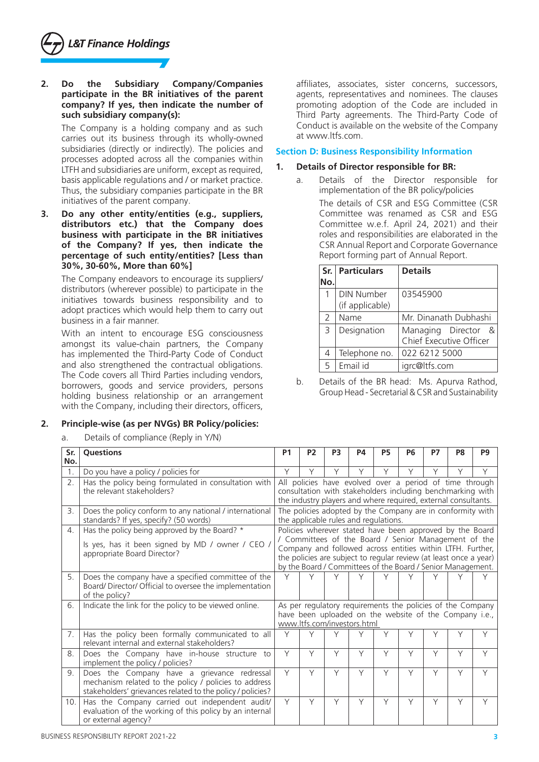

**2. Do the Subsidiary Company/Companies participate in the BR initiatives of the parent company? If yes, then indicate the number of such subsidiary company(s):**

The Company is a holding company and as such carries out its business through its wholly-owned subsidiaries (directly or indirectly). The policies and processes adopted across all the companies within LTFH and subsidiaries are uniform, except as required, basis applicable regulations and / or market practice. Thus, the subsidiary companies participate in the BR initiatives of the parent company.

**3. Do any other entity/entities (e.g., suppliers, distributors etc.) that the Company does business with participate in the BR initiatives of the Company? If yes, then indicate the percentage of such entity/entities? [Less than 30%, 30-60%, More than 60%]**

The Company endeavors to encourage its suppliers/ distributors (wherever possible) to participate in the initiatives towards business responsibility and to adopt practices which would help them to carry out business in a fair manner.

With an intent to encourage ESG consciousness amongst its value-chain partners, the Company has implemented the Third-Party Code of Conduct and also strengthened the contractual obligations. The Code covers all Third Parties including vendors, borrowers, goods and service providers, persons holding business relationship or an arrangement with the Company, including their directors, officers,

# **2. Principle-wise (as per NVGs) BR Policy/policies:**

a. Details of compliance (Reply in Y/N)

affiliates, associates, sister concerns, successors, agents, representatives and nominees. The clauses promoting adoption of the Code are included in Third Party agreements. The Third-Party Code of Conduct is available on the website of the Company at www.ltfs.com.

# **Section D: Business Responsibility Information**

# **1. Details of Director responsible for BR:**

a. Details of the Director responsible for implementation of the BR policy/policies The details of CSR and ESG Committee (CSR Committee was renamed as CSR and ESG Committee w.e.f. April 24, 2021) and their roles and responsibilities are elaborated in the CSR Annual Report and Corporate Governance Report forming part of Annual Report.

| Sr.           | <b>Particulars</b> | <b>Details</b>           |  |  |  |
|---------------|--------------------|--------------------------|--|--|--|
| No.           |                    |                          |  |  |  |
| 1             | <b>DIN Number</b>  | 03545900                 |  |  |  |
|               | (if applicable)    |                          |  |  |  |
| $\mathcal{P}$ | Name               | Mr. Dinanath Dubhashi    |  |  |  |
| 3             | Designation        | Managing Director<br>- & |  |  |  |
|               |                    | Chief Executive Officer  |  |  |  |
| 4             | Telephone no.      | 022 6212 5000            |  |  |  |
| 5.            | Email id           | igrc@ltfs.com            |  |  |  |

b. Details of the BR head: Ms. Apurva Rathod, Group Head - Secretarial & CSR and Sustainability

| Sr.<br>No.            | Questions                                                                                                                                                                                                | <b>P1</b>                                                                                                                                                                                                                                                                                                          | P <sub>2</sub> | P <sub>3</sub> | P4 | <b>P5</b> | P <sub>6</sub> | P7 | P <sub>8</sub> | P <sub>9</sub> |
|-----------------------|----------------------------------------------------------------------------------------------------------------------------------------------------------------------------------------------------------|--------------------------------------------------------------------------------------------------------------------------------------------------------------------------------------------------------------------------------------------------------------------------------------------------------------------|----------------|----------------|----|-----------|----------------|----|----------------|----------------|
| 1 <sub>1</sub>        | Do you have a policy / policies for                                                                                                                                                                      | Y                                                                                                                                                                                                                                                                                                                  | Υ              | Υ              | Y  | Y         | Y              | Υ  | Υ              | Y              |
| 2.                    | Has the policy being formulated in consultation with<br>the relevant stakeholders?                                                                                                                       | All policies have evolved over a period of time through<br>consultation with stakeholders including benchmarking with<br>the industry players and where required, external consultants.                                                                                                                            |                |                |    |           |                |    |                |                |
| 3.                    | The policies adopted by the Company are in conformity with<br>Does the policy conform to any national / international<br>standards? If yes, specify? (50 words)<br>the applicable rules and regulations. |                                                                                                                                                                                                                                                                                                                    |                |                |    |           |                |    |                |                |
| $\mathcal{A}_{\cdot}$ | Has the policy being approved by the Board? *<br>Is yes, has it been signed by MD / owner / CEO /<br>appropriate Board Director?                                                                         | Policies wherever stated have been approved by the Board<br>/ Committees of the Board / Senior Management of the<br>Company and followed across entities within LTFH. Further,<br>the policies are subject to regular review (at least once a year)<br>by the Board / Committees of the Board / Senior Management. |                |                |    |           |                |    |                |                |
| 5.                    | Does the company have a specified committee of the<br>Board/Director/Official to oversee the implementation<br>of the policy?                                                                            | Υ                                                                                                                                                                                                                                                                                                                  |                | Υ              | Υ  | Υ         |                |    |                |                |
| 6.                    | Indicate the link for the policy to be viewed online.                                                                                                                                                    | As per regulatory requirements the policies of the Company<br>have been uploaded on the website of the Company i.e.,<br>www.ltfs.com/investors.html                                                                                                                                                                |                |                |    |           |                |    |                |                |
| 7.                    | Has the policy been formally communicated to all<br>relevant internal and external stakeholders?                                                                                                         | Υ                                                                                                                                                                                                                                                                                                                  | Υ              | Y              | Υ  | Υ         | Υ              | Υ  | Υ              | Υ              |
| 8.                    | Does the Company have in-house structure to<br>implement the policy / policies?                                                                                                                          | Y                                                                                                                                                                                                                                                                                                                  | Υ              | Y              | Y  | Y         | Y              | Y  | Y              | Y              |
| 9.                    | Does the Company have a grievance redressal<br>mechanism related to the policy / policies to address<br>stakeholders' grievances related to the policy / policies?                                       | Y                                                                                                                                                                                                                                                                                                                  | Y              | Y              | Y  | Y         | Y              | Y  | Y              | Y              |
| 10.                   | Has the Company carried out independent audit/<br>evaluation of the working of this policy by an internal<br>or external agency?                                                                         | Y                                                                                                                                                                                                                                                                                                                  | Υ              | Y              | Y  | Y         | Y              | Y  | Y              | Y              |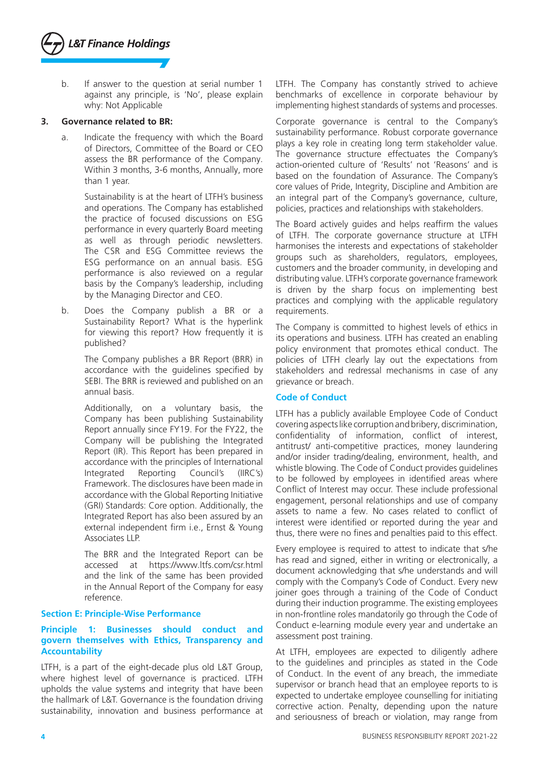

b. If answer to the question at serial number 1 against any principle, is 'No', please explain why: Not Applicable

# **3. Governance related to BR:**

a. Indicate the frequency with which the Board of Directors, Committee of the Board or CEO assess the BR performance of the Company. Within 3 months, 3-6 months, Annually, more than 1 year.

> Sustainability is at the heart of LTFH's business and operations. The Company has established the practice of focused discussions on ESG performance in every quarterly Board meeting as well as through periodic newsletters. The CSR and ESG Committee reviews the ESG performance on an annual basis. ESG performance is also reviewed on a regular basis by the Company's leadership, including by the Managing Director and CEO.

b. Does the Company publish a BR or a Sustainability Report? What is the hyperlink for viewing this report? How frequently it is published?

> The Company publishes a BR Report (BRR) in accordance with the guidelines specified by SEBI. The BRR is reviewed and published on an annual basis.

> Additionally, on a voluntary basis, the Company has been publishing Sustainability Report annually since FY19. For the FY22, the Company will be publishing the Integrated Report (IR). This Report has been prepared in accordance with the principles of International Integrated Reporting Council's (IIRC's) Framework. The disclosures have been made in accordance with the Global Reporting Initiative (GRI) Standards: Core option. Additionally, the Integrated Report has also been assured by an external independent firm i.e., Ernst & Young Associates LLP.

> The BRR and the Integrated Report can be accessed at https://www.ltfs.com/csr.html and the link of the same has been provided in the Annual Report of the Company for easy reference.

### **Section E: Principle-Wise Performance**

# **Principle 1: Businesses should conduct and govern themselves with Ethics, Transparency and Accountability**

LTFH, is a part of the eight-decade plus old L&T Group, where highest level of governance is practiced. LTFH upholds the value systems and integrity that have been the hallmark of L&T. Governance is the foundation driving sustainability, innovation and business performance at

LTFH. The Company has constantly strived to achieve benchmarks of excellence in corporate behaviour by implementing highest standards of systems and processes.

Corporate governance is central to the Company's sustainability performance. Robust corporate governance plays a key role in creating long term stakeholder value. The governance structure effectuates the Company's action-oriented culture of 'Results' not 'Reasons' and is based on the foundation of Assurance. The Company's core values of Pride, Integrity, Discipline and Ambition are an integral part of the Company's governance, culture, policies, practices and relationships with stakeholders.

The Board actively guides and helps reaffirm the values of LTFH. The corporate governance structure at LTFH harmonises the interests and expectations of stakeholder groups such as shareholders, regulators, employees, customers and the broader community, in developing and distributing value. LTFH's corporate governance framework is driven by the sharp focus on implementing best practices and complying with the applicable regulatory requirements.

The Company is committed to highest levels of ethics in its operations and business. LTFH has created an enabling policy environment that promotes ethical conduct. The policies of LTFH clearly lay out the expectations from stakeholders and redressal mechanisms in case of any grievance or breach.

### **Code of Conduct**

LTFH has a publicly available Employee Code of Conduct covering aspects like corruption and bribery, discrimination, confidentiality of information, conflict of interest, antitrust/ anti-competitive practices, money laundering and/or insider trading/dealing, environment, health, and whistle blowing. The Code of Conduct provides guidelines to be followed by employees in identified areas where Conflict of Interest may occur. These include professional engagement, personal relationships and use of company assets to name a few. No cases related to conflict of interest were identified or reported during the year and thus, there were no fines and penalties paid to this effect.

Every employee is required to attest to indicate that s/he has read and signed, either in writing or electronically, a document acknowledging that s/he understands and will comply with the Company's Code of Conduct. Every new joiner goes through a training of the Code of Conduct during their induction programme. The existing employees in non-frontline roles mandatorily go through the Code of Conduct e-learning module every year and undertake an assessment post training.

At LTFH, employees are expected to diligently adhere to the guidelines and principles as stated in the Code of Conduct. In the event of any breach, the immediate supervisor or branch head that an employee reports to is expected to undertake employee counselling for initiating corrective action. Penalty, depending upon the nature and seriousness of breach or violation, may range from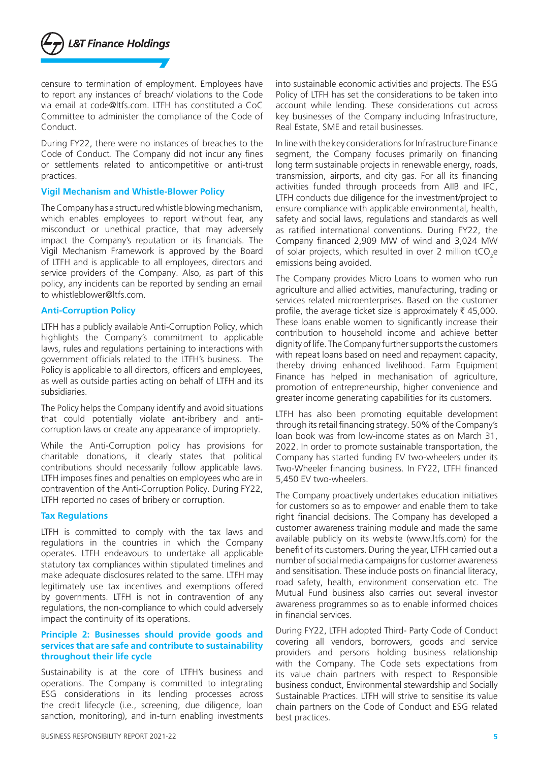

censure to termination of employment. Employees have to report any instances of breach/ violations to the Code via email at code@ltfs.com. LTFH has constituted a CoC Committee to administer the compliance of the Code of Conduct.

During FY22, there were no instances of breaches to the Code of Conduct. The Company did not incur any fines or settlements related to anticompetitive or anti-trust practices.

### **Vigil Mechanism and Whistle-Blower Policy**

The Company has a structured whistle blowing mechanism, which enables employees to report without fear, any misconduct or unethical practice, that may adversely impact the Company's reputation or its financials. The Vigil Mechanism Framework is approved by the Board of LTFH and is applicable to all employees, directors and service providers of the Company. Also, as part of this policy, any incidents can be reported by sending an email to whistleblower@ltfs.com.

#### **Anti-Corruption Policy**

LTFH has a publicly available Anti-Corruption Policy, which highlights the Company's commitment to applicable laws, rules and regulations pertaining to interactions with government officials related to the LTFH's business. The Policy is applicable to all directors, officers and employees, as well as outside parties acting on behalf of LTFH and its subsidiaries.

The Policy helps the Company identify and avoid situations that could potentially violate ant-ibribery and anticorruption laws or create any appearance of impropriety.

While the Anti-Corruption policy has provisions for charitable donations, it clearly states that political contributions should necessarily follow applicable laws. LTFH imposes fines and penalties on employees who are in contravention of the Anti-Corruption Policy. During FY22, LTFH reported no cases of bribery or corruption.

#### **Tax Regulations**

LTFH is committed to comply with the tax laws and regulations in the countries in which the Company operates. LTFH endeavours to undertake all applicable statutory tax compliances within stipulated timelines and make adequate disclosures related to the same. LTFH may legitimately use tax incentives and exemptions offered by governments. LTFH is not in contravention of any regulations, the non-compliance to which could adversely impact the continuity of its operations.

### **Principle 2: Businesses should provide goods and services that are safe and contribute to sustainability throughout their life cycle**

Sustainability is at the core of LTFH's business and operations. The Company is committed to integrating ESG considerations in its lending processes across the credit lifecycle (i.e., screening, due diligence, loan sanction, monitoring), and in-turn enabling investments

into sustainable economic activities and projects. The ESG Policy of LTFH has set the considerations to be taken into account while lending. These considerations cut across key businesses of the Company including Infrastructure, Real Estate, SME and retail businesses.

In line with the key considerations for Infrastructure Finance segment, the Company focuses primarily on financing long term sustainable projects in renewable energy, roads, transmission, airports, and city gas. For all its financing activities funded through proceeds from AIIB and IFC, LTFH conducts due diligence for the investment/project to ensure compliance with applicable environmental, health, safety and social laws, regulations and standards as well as ratified international conventions. During FY22, the Company financed 2,909 MW of wind and 3,024 MW of solar projects, which resulted in over 2 million  $tCO_2e$ emissions being avoided.

The Company provides Micro Loans to women who run agriculture and allied activities, manufacturing, trading or services related microenterprises. Based on the customer profile, the average ticket size is approximately  $\bar{\tau}$  45,000. These loans enable women to significantly increase their contribution to household income and achieve better dignity of life. The Company further supports the customers with repeat loans based on need and repayment capacity, thereby driving enhanced livelihood. Farm Equipment Finance has helped in mechanisation of agriculture, promotion of entrepreneurship, higher convenience and greater income generating capabilities for its customers.

LTFH has also been promoting equitable development through its retail financing strategy. 50% of the Company's loan book was from low-income states as on March 31, 2022. In order to promote sustainable transportation, the Company has started funding EV two-wheelers under its Two-Wheeler financing business. In FY22, LTFH financed 5,450 EV two-wheelers.

The Company proactively undertakes education initiatives for customers so as to empower and enable them to take right financial decisions. The Company has developed a customer awareness training module and made the same available publicly on its website (www.ltfs.com) for the benefit of its customers. During the year, LTFH carried out a number of social media campaigns for customer awareness and sensitisation. These include posts on financial literacy, road safety, health, environment conservation etc. The Mutual Fund business also carries out several investor awareness programmes so as to enable informed choices in financial services.

During FY22, LTFH adopted Third- Party Code of Conduct covering all vendors, borrowers, goods and service providers and persons holding business relationship with the Company. The Code sets expectations from its value chain partners with respect to Responsible business conduct, Environmental stewardship and Socially Sustainable Practices. LTFH will strive to sensitise its value chain partners on the Code of Conduct and ESG related best practices.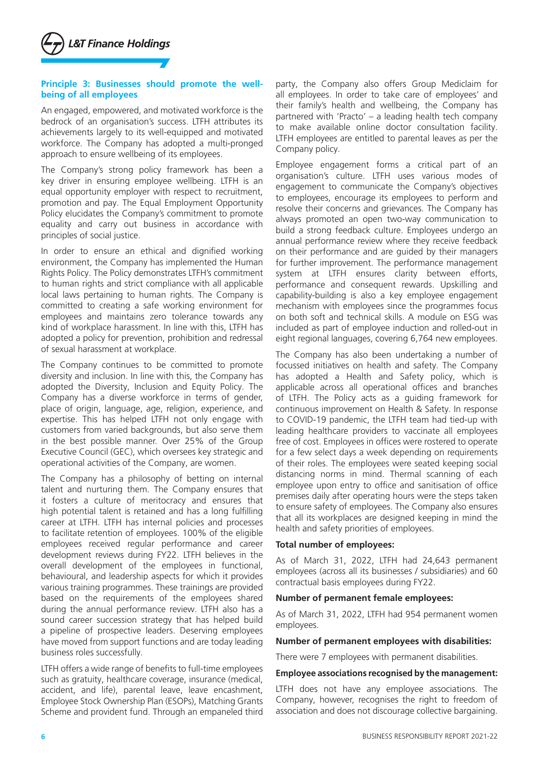

# **Principle 3: Businesses should promote the wellbeing of all employees**

An engaged, empowered, and motivated workforce is the bedrock of an organisation's success. LTFH attributes its achievements largely to its well-equipped and motivated workforce. The Company has adopted a multi-pronged approach to ensure wellbeing of its employees.

The Company's strong policy framework has been a key driver in ensuring employee wellbeing. LTFH is an equal opportunity employer with respect to recruitment, promotion and pay. The Equal Employment Opportunity Policy elucidates the Company's commitment to promote equality and carry out business in accordance with principles of social justice.

In order to ensure an ethical and dignified working environment, the Company has implemented the Human Rights Policy. The Policy demonstrates LTFH's commitment to human rights and strict compliance with all applicable local laws pertaining to human rights. The Company is committed to creating a safe working environment for employees and maintains zero tolerance towards any kind of workplace harassment. In line with this, LTFH has adopted a policy for prevention, prohibition and redressal of sexual harassment at workplace.

The Company continues to be committed to promote diversity and inclusion. In line with this, the Company has adopted the Diversity, Inclusion and Equity Policy. The Company has a diverse workforce in terms of gender, place of origin, language, age, religion, experience, and expertise. This has helped LTFH not only engage with customers from varied backgrounds, but also serve them in the best possible manner. Over 25% of the Group Executive Council (GEC), which oversees key strategic and operational activities of the Company, are women.

The Company has a philosophy of betting on internal talent and nurturing them. The Company ensures that it fosters a culture of meritocracy and ensures that high potential talent is retained and has a long fulfilling career at LTFH. LTFH has internal policies and processes to facilitate retention of employees. 100% of the eligible employees received regular performance and career development reviews during FY22. LTFH believes in the overall development of the employees in functional, behavioural, and leadership aspects for which it provides various training programmes. These trainings are provided based on the requirements of the employees shared during the annual performance review. LTFH also has a sound career succession strategy that has helped build a pipeline of prospective leaders. Deserving employees have moved from support functions and are today leading business roles successfully.

LTFH offers a wide range of benefits to full-time employees such as gratuity, healthcare coverage, insurance (medical, accident, and life), parental leave, leave encashment, Employee Stock Ownership Plan (ESOPs), Matching Grants Scheme and provident fund. Through an empaneled third

party, the Company also offers Group Mediclaim for all employees. In order to take care of employees' and their family's health and wellbeing, the Company has partnered with 'Practo' – a leading health tech company to make available online doctor consultation facility. LTFH employees are entitled to parental leaves as per the Company policy.

Employee engagement forms a critical part of an organisation's culture. LTFH uses various modes of engagement to communicate the Company's objectives to employees, encourage its employees to perform and resolve their concerns and grievances. The Company has always promoted an open two-way communication to build a strong feedback culture. Employees undergo an annual performance review where they receive feedback on their performance and are guided by their managers for further improvement. The performance management system at LTFH ensures clarity between efforts, performance and consequent rewards. Upskilling and capability-building is also a key employee engagement mechanism with employees since the programmes focus on both soft and technical skills. A module on ESG was included as part of employee induction and rolled-out in eight regional languages, covering 6,764 new employees.

The Company has also been undertaking a number of focussed initiatives on health and safety. The Company has adopted a Health and Safety policy, which is applicable across all operational offices and branches of LTFH. The Policy acts as a guiding framework for continuous improvement on Health & Safety. In response to COVID-19 pandemic, the LTFH team had tied-up with leading healthcare providers to vaccinate all employees free of cost. Employees in offices were rostered to operate for a few select days a week depending on requirements of their roles. The employees were seated keeping social distancing norms in mind. Thermal scanning of each employee upon entry to office and sanitisation of office premises daily after operating hours were the steps taken to ensure safety of employees. The Company also ensures that all its workplaces are designed keeping in mind the health and safety priorities of employees.

### **Total number of employees:**

As of March 31, 2022, LTFH had 24,643 permanent employees (across all its businesses / subsidiaries) and 60 contractual basis employees during FY22.

# **Number of permanent female employees:**

As of March 31, 2022, LTFH had 954 permanent women employees.

# **Number of permanent employees with disabilities:**

There were 7 employees with permanent disabilities.

# **Employee associations recognised by the management:**

LTFH does not have any employee associations. The Company, however, recognises the right to freedom of association and does not discourage collective bargaining.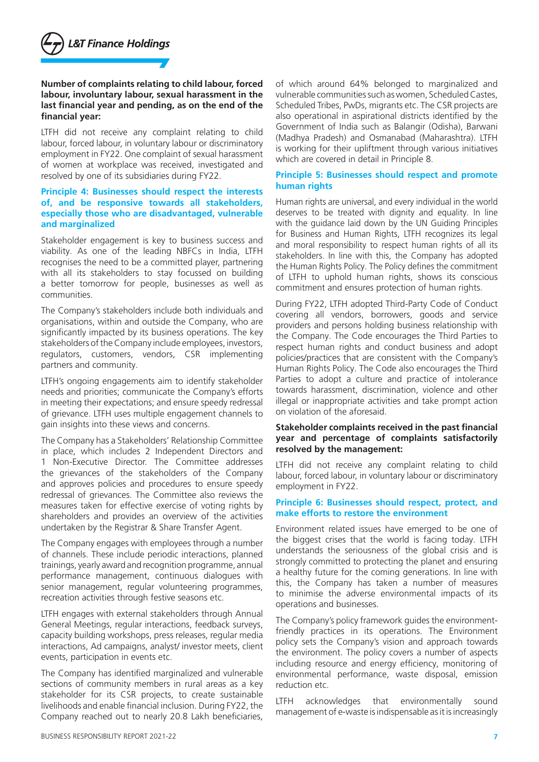

# **Number of complaints relating to child labour, forced labour, involuntary labour, sexual harassment in the last financial year and pending, as on the end of the financial year:**

LTFH did not receive any complaint relating to child labour, forced labour, in voluntary labour or discriminatory employment in FY22. One complaint of sexual harassment of women at workplace was received, investigated and resolved by one of its subsidiaries during FY22.

# **Principle 4: Businesses should respect the interests of, and be responsive towards all stakeholders, especially those who are disadvantaged, vulnerable and marginalized**

Stakeholder engagement is key to business success and viability. As one of the leading NBFCs in India, LTFH recognises the need to be a committed player, partnering with all its stakeholders to stay focussed on building a better tomorrow for people, businesses as well as communities.

The Company's stakeholders include both individuals and organisations, within and outside the Company, who are significantly impacted by its business operations. The key stakeholders of the Company include employees, investors, regulators, customers, vendors, CSR implementing partners and community.

LTFH's ongoing engagements aim to identify stakeholder needs and priorities; communicate the Company's efforts in meeting their expectations; and ensure speedy redressal of grievance. LTFH uses multiple engagement channels to gain insights into these views and concerns.

The Company has a Stakeholders' Relationship Committee in place, which includes 2 Independent Directors and 1 Non-Executive Director. The Committee addresses the grievances of the stakeholders of the Company and approves policies and procedures to ensure speedy redressal of grievances. The Committee also reviews the measures taken for effective exercise of voting rights by shareholders and provides an overview of the activities undertaken by the Registrar & Share Transfer Agent.

The Company engages with employees through a number of channels. These include periodic interactions, planned trainings, yearly award and recognition programme, annual performance management, continuous dialogues with senior management, regular volunteering programmes, recreation activities through festive seasons etc.

LTFH engages with external stakeholders through Annual General Meetings, regular interactions, feedback surveys, capacity building workshops, press releases, regular media interactions, Ad campaigns, analyst/ investor meets, client events, participation in events etc.

The Company has identified marginalized and vulnerable sections of community members in rural areas as a key stakeholder for its CSR projects, to create sustainable livelihoods and enable financial inclusion. During FY22, the Company reached out to nearly 20.8 Lakh beneficiaries,

of which around 64% belonged to marginalized and vulnerable communities such as women, Scheduled Castes, Scheduled Tribes, PwDs, migrants etc. The CSR projects are also operational in aspirational districts identified by the Government of India such as Balangir (Odisha), Barwani (Madhya Pradesh) and Osmanabad (Maharashtra). LTFH is working for their upliftment through various initiatives which are covered in detail in Principle 8.

# **Principle 5: Businesses should respect and promote human rights**

Human rights are universal, and every individual in the world deserves to be treated with dignity and equality. In line with the guidance laid down by the UN Guiding Principles for Business and Human Rights, LTFH recognizes its legal and moral responsibility to respect human rights of all its stakeholders. In line with this, the Company has adopted the Human Rights Policy. The Policy defines the commitment of LTFH to uphold human rights, shows its conscious commitment and ensures protection of human rights.

During FY22, LTFH adopted Third-Party Code of Conduct covering all vendors, borrowers, goods and service providers and persons holding business relationship with the Company. The Code encourages the Third Parties to respect human rights and conduct business and adopt policies/practices that are consistent with the Company's Human Rights Policy. The Code also encourages the Third Parties to adopt a culture and practice of intolerance towards harassment, discrimination, violence and other illegal or inappropriate activities and take prompt action on violation of the aforesaid.

### **Stakeholder complaints received in the past financial year and percentage of complaints satisfactorily resolved by the management:**

LTFH did not receive any complaint relating to child labour, forced labour, in voluntary labour or discriminatory employment in FY22.

# **Principle 6: Businesses should respect, protect, and make efforts to restore the environment**

Environment related issues have emerged to be one of the biggest crises that the world is facing today. LTFH understands the seriousness of the global crisis and is strongly committed to protecting the planet and ensuring a healthy future for the coming generations. In line with this, the Company has taken a number of measures to minimise the adverse environmental impacts of its operations and businesses.

The Company's policy framework guides the environmentfriendly practices in its operations. The Environment policy sets the Company's vision and approach towards the environment. The policy covers a number of aspects including resource and energy efficiency, monitoring of environmental performance, waste disposal, emission reduction etc.

LTFH acknowledges that environmentally sound management of e-waste is indispensable as it is increasingly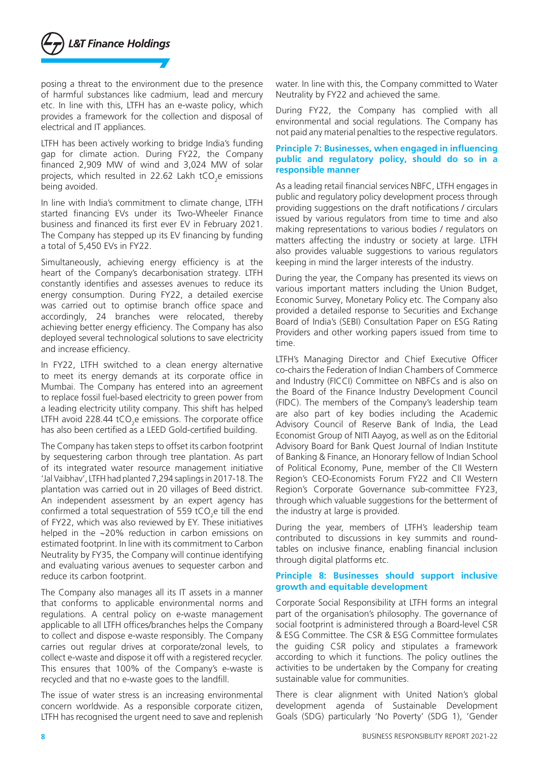

posing a threat to the environment due to the presence of harmful substances like cadmium, lead and mercury etc. In line with this, LTFH has an e-waste policy, which provides a framework for the collection and disposal of electrical and IT appliances.

LTFH has been actively working to bridge India's funding gap for climate action. During FY22, the Company financed 2,909 MW of wind and 3,024 MW of solar projects, which resulted in 22.62 Lakh tCO<sub>2</sub>e emissions being avoided.

In line with India's commitment to climate change, LTFH started financing EVs under its Two-Wheeler Finance business and financed its first ever EV in February 2021. The Company has stepped up its EV financing by funding a total of 5,450 EVs in FY22.

Simultaneously, achieving energy efficiency is at the heart of the Company's decarbonisation strategy. LTFH constantly identifies and assesses avenues to reduce its energy consumption. During FY22, a detailed exercise was carried out to optimise branch office space and accordingly, 24 branches were relocated, thereby achieving better energy efficiency. The Company has also deployed several technological solutions to save electricity and increase efficiency.

In FY22, LTFH switched to a clean energy alternative to meet its energy demands at its corporate office in Mumbai. The Company has entered into an agreement to replace fossil fuel-based electricity to green power from a leading electricity utility company. This shift has helped LTFH avoid 228.44  $tCO<sub>2</sub>e$  emissions. The corporate office has also been certified as a LEED Gold-certified building.

The Company has taken steps to offset its carbon footprint by sequestering carbon through tree plantation. As part of its integrated water resource management initiative 'Jal Vaibhav', LTFH had planted 7,294 saplings in 2017-18. The plantation was carried out in 20 villages of Beed district. An independent assessment by an expert agency has confirmed a total sequestration of 559 tCO<sub>2</sub>e till the end of FY22, which was also reviewed by EY. These initiatives helped in the ~20% reduction in carbon emissions on estimated footprint. In line with its commitment to Carbon Neutrality by FY35, the Company will continue identifying and evaluating various avenues to sequester carbon and reduce its carbon footprint.

The Company also manages all its IT assets in a manner that conforms to applicable environmental norms and regulations. A central policy on e-waste management applicable to all LTFH offices/branches helps the Company to collect and dispose e-waste responsibly. The Company carries out regular drives at corporate/zonal levels, to collect e-waste and dispose it off with a registered recycler. This ensures that 100% of the Company's e-waste is recycled and that no e-waste goes to the landfill.

The issue of water stress is an increasing environmental concern worldwide. As a responsible corporate citizen, LTFH has recognised the urgent need to save and replenish water. In line with this, the Company committed to Water Neutrality by FY22 and achieved the same.

During FY22, the Company has complied with all environmental and social regulations. The Company has not paid any material penalties to the respective regulators.

# **Principle 7: Businesses, when engaged in influencing public and regulatory policy, should do so in a responsible manner**

As a leading retail financial services NBFC, LTFH engages in public and regulatory policy development process through providing suggestions on the draft notifications / circulars issued by various regulators from time to time and also making representations to various bodies / regulators on matters affecting the industry or society at large. LTFH also provides valuable suggestions to various regulators keeping in mind the larger interests of the industry.

During the year, the Company has presented its views on various important matters including the Union Budget, Economic Survey, Monetary Policy etc. The Company also provided a detailed response to Securities and Exchange Board of India's (SEBI) Consultation Paper on ESG Rating Providers and other working papers issued from time to time.

LTFH's Managing Director and Chief Executive Officer co-chairs the Federation of Indian Chambers of Commerce and Industry (FICCI) Committee on NBFCs and is also on the Board of the Finance Industry Development Council (FIDC). The members of the Company's leadership team are also part of key bodies including the Academic Advisory Council of Reserve Bank of India, the Lead Economist Group of NITI Aayog, as well as on the Editorial Advisory Board for Bank Quest Journal of Indian Institute of Banking & Finance, an Honorary fellow of Indian School of Political Economy, Pune, member of the CII Western Region's CEO-Economists Forum FY22 and CII Western Region's Corporate Governance sub-committee FY23, through which valuable suggestions for the betterment of the industry at large is provided.

During the year, members of LTFH's leadership team contributed to discussions in key summits and roundtables on inclusive finance, enabling financial inclusion through digital platforms etc.

# **Principle 8: Businesses should support inclusive growth and equitable development**

Corporate Social Responsibility at LTFH forms an integral part of the organisation's philosophy. The governance of social footprint is administered through a Board-level CSR & ESG Committee. The CSR & ESG Committee formulates the guiding CSR policy and stipulates a framework according to which it functions. The policy outlines the activities to be undertaken by the Company for creating sustainable value for communities.

There is clear alignment with United Nation's global development agenda of Sustainable Development Goals (SDG) particularly 'No Poverty' (SDG 1), 'Gender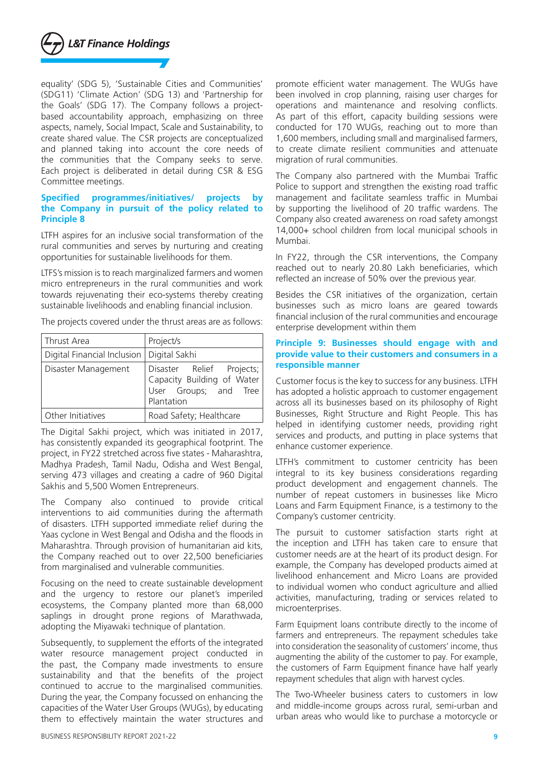

equality' (SDG 5), 'Sustainable Cities and Communities' (SDG11) 'Climate Action' (SDG 13) and 'Partnership for the Goals' (SDG 17). The Company follows a projectbased accountability approach, emphasizing on three aspects, namely, Social Impact, Scale and Sustainability, to create shared value. The CSR projects are conceptualized and planned taking into account the core needs of the communities that the Company seeks to serve. Each project is deliberated in detail during CSR & ESG Committee meetings.

# **Specified programmes/initiatives/ projects by the Company in pursuit of the policy related to Principle 8**

LTFH aspires for an inclusive social transformation of the rural communities and serves by nurturing and creating opportunities for sustainable livelihoods for them.

LTFS's mission is to reach marginalized farmers and women micro entrepreneurs in the rural communities and work towards rejuvenating their eco-systems thereby creating sustainable livelihoods and enabling financial inclusion.

The projects covered under the thrust areas are as follows:

| Thrust Area                                 | Project/s                                                                                            |  |  |  |  |  |
|---------------------------------------------|------------------------------------------------------------------------------------------------------|--|--|--|--|--|
| Digital Financial Inclusion   Digital Sakhi |                                                                                                      |  |  |  |  |  |
| Disaster Management                         | Disaster Relief Projects;<br>Capacity Building of Water<br>  User Groups; and Tree  <br>  Plantation |  |  |  |  |  |
| Other Initiatives                           | Road Safety; Healthcare                                                                              |  |  |  |  |  |

The Digital Sakhi project, which was initiated in 2017, has consistently expanded its geographical footprint. The project, in FY22 stretched across five states - Maharashtra, Madhya Pradesh, Tamil Nadu, Odisha and West Bengal, serving 473 villages and creating a cadre of 960 Digital Sakhis and 5,500 Women Entrepreneurs.

The Company also continued to provide critical interventions to aid communities during the aftermath of disasters. LTFH supported immediate relief during the Yaas cyclone in West Bengal and Odisha and the floods in Maharashtra. Through provision of humanitarian aid kits, the Company reached out to over 22,500 beneficiaries from marginalised and vulnerable communities.

Focusing on the need to create sustainable development and the urgency to restore our planet's imperiled ecosystems, the Company planted more than 68,000 saplings in drought prone regions of Marathwada, adopting the Miyawaki technique of plantation.

Subsequently, to supplement the efforts of the integrated water resource management project conducted in the past, the Company made investments to ensure sustainability and that the benefits of the project continued to accrue to the marginalised communities. During the year, the Company focussed on enhancing the capacities of the Water User Groups (WUGs), by educating them to effectively maintain the water structures and

promote efficient water management. The WUGs have been involved in crop planning, raising user charges for operations and maintenance and resolving conflicts. As part of this effort, capacity building sessions were conducted for 170 WUGs, reaching out to more than 1,600 members, including small and marginalised farmers, to create climate resilient communities and attenuate migration of rural communities.

The Company also partnered with the Mumbai Traffic Police to support and strengthen the existing road traffic management and facilitate seamless traffic in Mumbai by supporting the livelihood of 20 traffic wardens. The Company also created awareness on road safety amongst 14,000+ school children from local municipal schools in Mumbai.

In FY22, through the CSR interventions, the Company reached out to nearly 20.80 Lakh beneficiaries, which reflected an increase of 50% over the previous year.

Besides the CSR initiatives of the organization, certain businesses such as micro loans are geared towards financial inclusion of the rural communities and encourage enterprise development within them

# **Principle 9: Businesses should engage with and provide value to their customers and consumers in a responsible manner**

Customer focus is the key to success for any business. LTFH has adopted a holistic approach to customer engagement across all its businesses based on its philosophy of Right Businesses, Right Structure and Right People. This has helped in identifying customer needs, providing right services and products, and putting in place systems that enhance customer experience.

LTFH's commitment to customer centricity has been integral to its key business considerations regarding product development and engagement channels. The number of repeat customers in businesses like Micro Loans and Farm Equipment Finance, is a testimony to the Company's customer centricity.

The pursuit to customer satisfaction starts right at the inception and LTFH has taken care to ensure that customer needs are at the heart of its product design. For example, the Company has developed products aimed at livelihood enhancement and Micro Loans are provided to individual women who conduct agriculture and allied activities, manufacturing, trading or services related to microenterprises.

Farm Equipment loans contribute directly to the income of farmers and entrepreneurs. The repayment schedules take into consideration the seasonality of customers' income, thus augmenting the ability of the customer to pay. For example, the customers of Farm Equipment finance have half yearly repayment schedules that align with harvest cycles.

The Two-Wheeler business caters to customers in low and middle-income groups across rural, semi-urban and urban areas who would like to purchase a motorcycle or